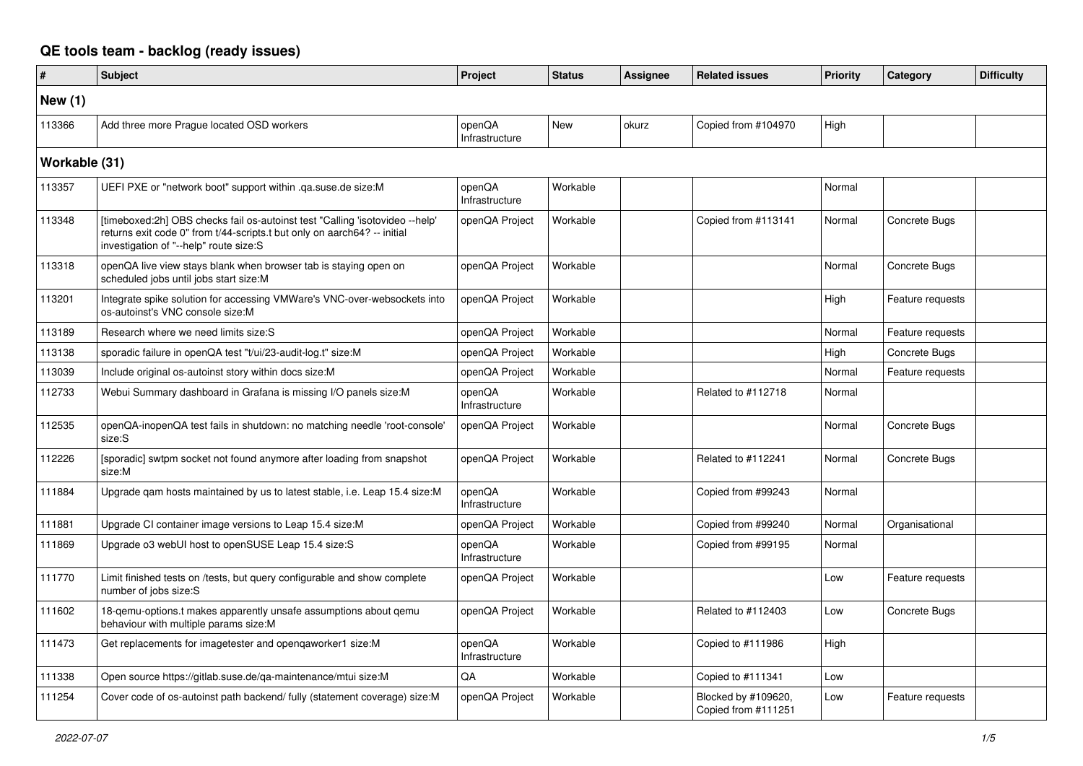## **QE tools team - backlog (ready issues)**

| $\vert$ #      | <b>Subject</b>                                                                                                                                                                                     | Project                  | <b>Status</b> | <b>Assignee</b> | <b>Related issues</b>                      | <b>Priority</b> | Category             | <b>Difficulty</b> |
|----------------|----------------------------------------------------------------------------------------------------------------------------------------------------------------------------------------------------|--------------------------|---------------|-----------------|--------------------------------------------|-----------------|----------------------|-------------------|
| <b>New (1)</b> |                                                                                                                                                                                                    |                          |               |                 |                                            |                 |                      |                   |
| 113366         | Add three more Prague located OSD workers                                                                                                                                                          | openQA<br>Infrastructure | New           | okurz           | Copied from #104970                        | High            |                      |                   |
| Workable (31)  |                                                                                                                                                                                                    |                          |               |                 |                                            |                 |                      |                   |
| 113357         | UEFI PXE or "network boot" support within .qa.suse.de size:M                                                                                                                                       | openQA<br>Infrastructure | Workable      |                 |                                            | Normal          |                      |                   |
| 113348         | [timeboxed:2h] OBS checks fail os-autoinst test "Calling 'isotovideo --help'<br>returns exit code 0" from t/44-scripts.t but only on aarch64? -- initial<br>investigation of "--help" route size:S | openQA Project           | Workable      |                 | Copied from #113141                        | Normal          | <b>Concrete Bugs</b> |                   |
| 113318         | openQA live view stays blank when browser tab is staying open on<br>scheduled jobs until jobs start size:M                                                                                         | openQA Project           | Workable      |                 |                                            | Normal          | Concrete Bugs        |                   |
| 113201         | Integrate spike solution for accessing VMWare's VNC-over-websockets into<br>os-autoinst's VNC console size:M                                                                                       | openQA Project           | Workable      |                 |                                            | High            | Feature requests     |                   |
| 113189         | Research where we need limits size:S                                                                                                                                                               | openQA Project           | Workable      |                 |                                            | Normal          | Feature requests     |                   |
| 113138         | sporadic failure in openQA test "t/ui/23-audit-log.t" size:M                                                                                                                                       | openQA Project           | Workable      |                 |                                            | High            | Concrete Bugs        |                   |
| 113039         | Include original os-autoinst story within docs size:M                                                                                                                                              | openQA Project           | Workable      |                 |                                            | Normal          | Feature requests     |                   |
| 112733         | Webui Summary dashboard in Grafana is missing I/O panels size:M                                                                                                                                    | openQA<br>Infrastructure | Workable      |                 | Related to #112718                         | Normal          |                      |                   |
| 112535         | openQA-inopenQA test fails in shutdown: no matching needle 'root-console'<br>size:S                                                                                                                | openQA Project           | Workable      |                 |                                            | Normal          | Concrete Bugs        |                   |
| 112226         | [sporadic] swtpm socket not found anymore after loading from snapshot<br>size:M                                                                                                                    | openQA Project           | Workable      |                 | Related to #112241                         | Normal          | Concrete Bugs        |                   |
| 111884         | Upgrade qam hosts maintained by us to latest stable, i.e. Leap 15.4 size:M                                                                                                                         | openQA<br>Infrastructure | Workable      |                 | Copied from #99243                         | Normal          |                      |                   |
| 111881         | Upgrade CI container image versions to Leap 15.4 size:M                                                                                                                                            | openQA Project           | Workable      |                 | Copied from #99240                         | Normal          | Organisational       |                   |
| 111869         | Upgrade o3 webUI host to openSUSE Leap 15.4 size:S                                                                                                                                                 | openQA<br>Infrastructure | Workable      |                 | Copied from #99195                         | Normal          |                      |                   |
| 111770         | Limit finished tests on /tests, but query configurable and show complete<br>number of jobs size:S                                                                                                  | openQA Project           | Workable      |                 |                                            | Low             | Feature requests     |                   |
| 111602         | 18-qemu-options.t makes apparently unsafe assumptions about qemu<br>behaviour with multiple params size:M                                                                                          | openQA Project           | Workable      |                 | Related to #112403                         | Low             | Concrete Bugs        |                   |
| 111473         | Get replacements for imagetester and opengaworker1 size:M                                                                                                                                          | openQA<br>Infrastructure | Workable      |                 | Copied to #111986                          | High            |                      |                   |
| 111338         | Open source https://gitlab.suse.de/ga-maintenance/mtui size:M                                                                                                                                      | QA                       | Workable      |                 | Copied to #111341                          | Low             |                      |                   |
| 111254         | Cover code of os-autoinst path backend/ fully (statement coverage) size:M                                                                                                                          | openQA Project           | Workable      |                 | Blocked by #109620,<br>Copied from #111251 | Low             | Feature requests     |                   |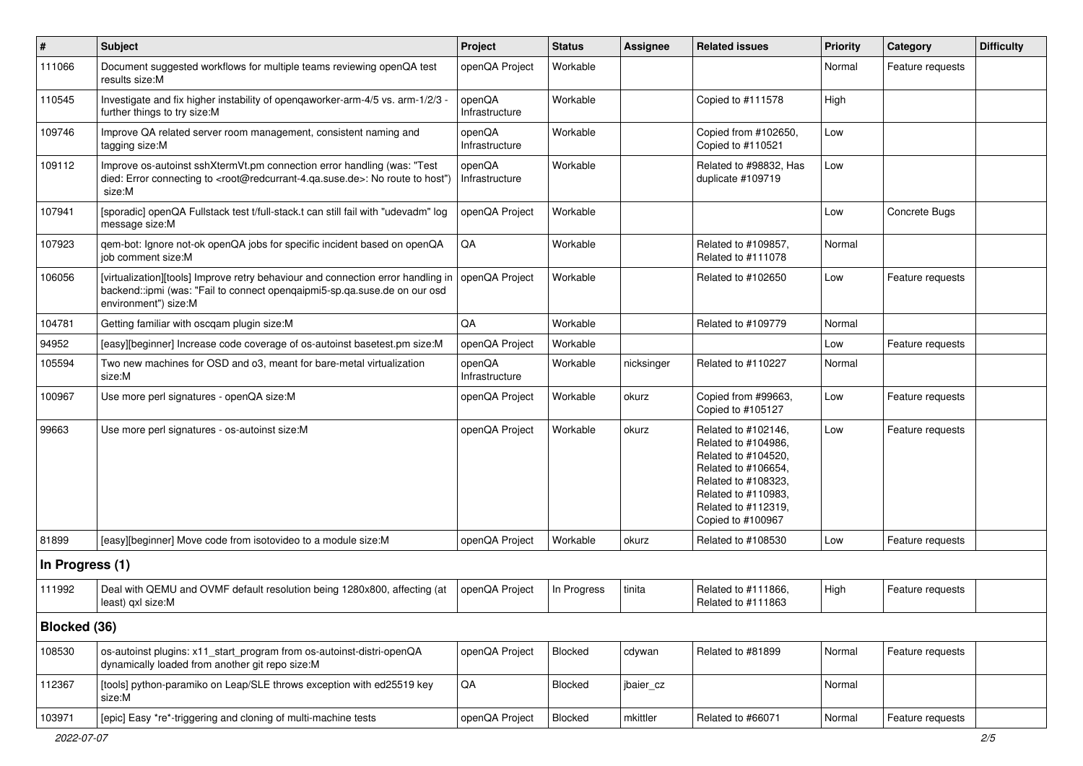| $\vert$ #       | <b>Subject</b>                                                                                                                                                                                    | Project                  | <b>Status</b> | <b>Assignee</b> | <b>Related issues</b>                                                                                                                                                              | <b>Priority</b> | Category         | <b>Difficulty</b> |
|-----------------|---------------------------------------------------------------------------------------------------------------------------------------------------------------------------------------------------|--------------------------|---------------|-----------------|------------------------------------------------------------------------------------------------------------------------------------------------------------------------------------|-----------------|------------------|-------------------|
| 111066          | Document suggested workflows for multiple teams reviewing openQA test<br>results size:M                                                                                                           | openQA Project           | Workable      |                 |                                                                                                                                                                                    | Normal          | Feature requests |                   |
| 110545          | Investigate and fix higher instability of openqaworker-arm-4/5 vs. arm-1/2/3 -<br>further things to try size:M                                                                                    | openQA<br>Infrastructure | Workable      |                 | Copied to #111578                                                                                                                                                                  | High            |                  |                   |
| 109746          | Improve QA related server room management, consistent naming and<br>tagging size:M                                                                                                                | openQA<br>Infrastructure | Workable      |                 | Copied from #102650,<br>Copied to #110521                                                                                                                                          | Low             |                  |                   |
| 109112          | Improve os-autoinst sshXtermVt.pm connection error handling (was: "Test<br>died: Error connecting to <root@redcurrant-4.ga.suse.de>: No route to host")<br/>size:M</root@redcurrant-4.ga.suse.de> | openQA<br>Infrastructure | Workable      |                 | Related to #98832, Has<br>duplicate #109719                                                                                                                                        | Low             |                  |                   |
| 107941          | [sporadic] openQA Fullstack test t/full-stack.t can still fail with "udevadm" log<br>message size:M                                                                                               | openQA Project           | Workable      |                 |                                                                                                                                                                                    | Low             | Concrete Bugs    |                   |
| 107923          | qem-bot: Ignore not-ok openQA jobs for specific incident based on openQA<br>job comment size:M                                                                                                    | QA                       | Workable      |                 | Related to #109857,<br>Related to #111078                                                                                                                                          | Normal          |                  |                   |
| 106056          | [virtualization][tools] Improve retry behaviour and connection error handling in<br>backend::ipmi (was: "Fail to connect opengaipmi5-sp.ga.suse.de on our osd<br>environment") size:M             | openQA Project           | Workable      |                 | Related to #102650                                                                                                                                                                 | Low             | Feature requests |                   |
| 104781          | Getting familiar with oscqam plugin size:M                                                                                                                                                        | QA                       | Workable      |                 | Related to #109779                                                                                                                                                                 | Normal          |                  |                   |
| 94952           | [easy][beginner] Increase code coverage of os-autoinst basetest.pm size:M                                                                                                                         | openQA Project           | Workable      |                 |                                                                                                                                                                                    | Low             | Feature requests |                   |
| 105594          | Two new machines for OSD and o3, meant for bare-metal virtualization<br>size:M                                                                                                                    | openQA<br>Infrastructure | Workable      | nicksinger      | Related to #110227                                                                                                                                                                 | Normal          |                  |                   |
| 100967          | Use more perl signatures - openQA size:M                                                                                                                                                          | openQA Project           | Workable      | okurz           | Copied from #99663,<br>Copied to #105127                                                                                                                                           | Low             | Feature requests |                   |
| 99663           | Use more perl signatures - os-autoinst size:M                                                                                                                                                     | openQA Project           | Workable      | okurz           | Related to #102146,<br>Related to #104986,<br>Related to #104520,<br>Related to #106654,<br>Related to #108323,<br>Related to #110983,<br>Related to #112319,<br>Copied to #100967 | Low             | Feature requests |                   |
| 81899           | [easy][beginner] Move code from isotovideo to a module size:M                                                                                                                                     | openQA Project           | Workable      | okurz           | Related to #108530                                                                                                                                                                 | Low             | Feature requests |                   |
| In Progress (1) |                                                                                                                                                                                                   |                          |               |                 |                                                                                                                                                                                    |                 |                  |                   |
| 111992          | Deal with QEMU and OVMF default resolution being 1280x800, affecting (at<br>least) gxl size:M                                                                                                     | openQA Project           | In Progress   | tinita          | Related to #111866,<br>Related to #111863                                                                                                                                          | High            | Feature requests |                   |
| Blocked (36)    |                                                                                                                                                                                                   |                          |               |                 |                                                                                                                                                                                    |                 |                  |                   |
| 108530          | os-autoinst plugins: x11_start_program from os-autoinst-distri-openQA<br>dynamically loaded from another git repo size:M                                                                          | openQA Project           | Blocked       | cdywan          | Related to #81899                                                                                                                                                                  | Normal          | Feature requests |                   |
| 112367          | [tools] python-paramiko on Leap/SLE throws exception with ed25519 key<br>size:M                                                                                                                   | $\mathsf{QA}$            | Blocked       | jbaier_cz       |                                                                                                                                                                                    | Normal          |                  |                   |
| 103971          | [epic] Easy *re*-triggering and cloning of multi-machine tests                                                                                                                                    | openQA Project           | Blocked       | mkittler        | Related to #66071                                                                                                                                                                  | Normal          | Feature requests |                   |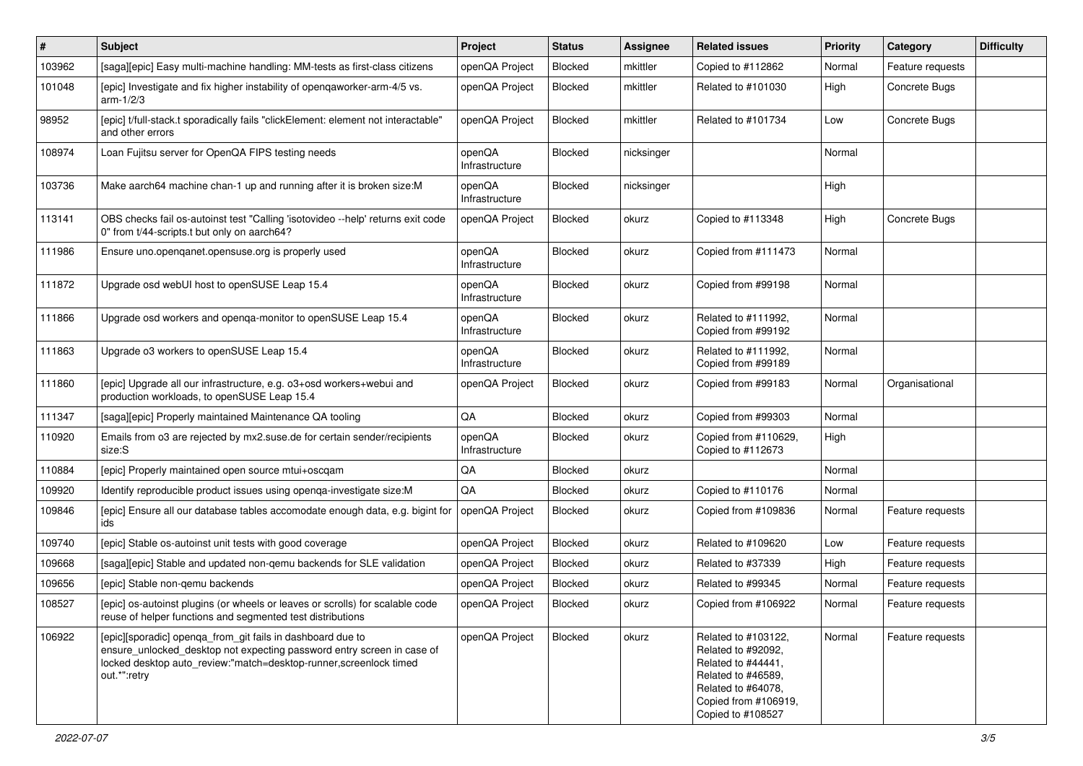| $\vert$ # | <b>Subject</b>                                                                                                                                                                                                            | Project                  | <b>Status</b>  | <b>Assignee</b> | <b>Related issues</b>                                                                                                                                    | <b>Priority</b> | Category         | <b>Difficulty</b> |
|-----------|---------------------------------------------------------------------------------------------------------------------------------------------------------------------------------------------------------------------------|--------------------------|----------------|-----------------|----------------------------------------------------------------------------------------------------------------------------------------------------------|-----------------|------------------|-------------------|
| 103962    | [saga][epic] Easy multi-machine handling: MM-tests as first-class citizens                                                                                                                                                | openQA Project           | <b>Blocked</b> | mkittler        | Copied to #112862                                                                                                                                        | Normal          | Feature requests |                   |
| 101048    | [epic] Investigate and fix higher instability of openqaworker-arm-4/5 vs.<br>$arm-1/2/3$                                                                                                                                  | openQA Project           | Blocked        | mkittler        | Related to #101030                                                                                                                                       | High            | Concrete Bugs    |                   |
| 98952     | [epic] t/full-stack.t sporadically fails "clickElement: element not interactable"<br>and other errors                                                                                                                     | openQA Project           | Blocked        | mkittler        | Related to #101734                                                                                                                                       | Low             | Concrete Bugs    |                   |
| 108974    | Loan Fujitsu server for OpenQA FIPS testing needs                                                                                                                                                                         | openQA<br>Infrastructure | Blocked        | nicksinger      |                                                                                                                                                          | Normal          |                  |                   |
| 103736    | Make aarch64 machine chan-1 up and running after it is broken size:M                                                                                                                                                      | openQA<br>Infrastructure | Blocked        | nicksinger      |                                                                                                                                                          | High            |                  |                   |
| 113141    | OBS checks fail os-autoinst test "Calling 'isotovideo --help' returns exit code<br>0" from t/44-scripts.t but only on aarch64?                                                                                            | openQA Project           | Blocked        | okurz           | Copied to #113348                                                                                                                                        | High            | Concrete Bugs    |                   |
| 111986    | Ensure uno openganet opensuse org is properly used                                                                                                                                                                        | openQA<br>Infrastructure | Blocked        | okurz           | Copied from #111473                                                                                                                                      | Normal          |                  |                   |
| 111872    | Upgrade osd webUI host to openSUSE Leap 15.4                                                                                                                                                                              | openQA<br>Infrastructure | Blocked        | okurz           | Copied from #99198                                                                                                                                       | Normal          |                  |                   |
| 111866    | Upgrade osd workers and openga-monitor to openSUSE Leap 15.4                                                                                                                                                              | openQA<br>Infrastructure | Blocked        | okurz           | Related to #111992,<br>Copied from #99192                                                                                                                | Normal          |                  |                   |
| 111863    | Upgrade o3 workers to openSUSE Leap 15.4                                                                                                                                                                                  | openQA<br>Infrastructure | Blocked        | okurz           | Related to #111992,<br>Copied from #99189                                                                                                                | Normal          |                  |                   |
| 111860    | [epic] Upgrade all our infrastructure, e.g. o3+osd workers+webui and<br>production workloads, to openSUSE Leap 15.4                                                                                                       | openQA Project           | Blocked        | okurz           | Copied from #99183                                                                                                                                       | Normal          | Organisational   |                   |
| 111347    | [saga][epic] Properly maintained Maintenance QA tooling                                                                                                                                                                   | QA                       | Blocked        | okurz           | Copied from #99303                                                                                                                                       | Normal          |                  |                   |
| 110920    | Emails from 03 are rejected by mx2.suse.de for certain sender/recipients<br>size:S                                                                                                                                        | openQA<br>Infrastructure | <b>Blocked</b> | okurz           | Copied from #110629,<br>Copied to #112673                                                                                                                | High            |                  |                   |
| 110884    | [epic] Properly maintained open source mtui+oscgam                                                                                                                                                                        | QA                       | Blocked        | okurz           |                                                                                                                                                          | Normal          |                  |                   |
| 109920    | Identify reproducible product issues using openga-investigate size:M                                                                                                                                                      | QA                       | Blocked        | okurz           | Copied to #110176                                                                                                                                        | Normal          |                  |                   |
| 109846    | [epic] Ensure all our database tables accomodate enough data, e.g. bigint for<br>ids                                                                                                                                      | openQA Project           | Blocked        | okurz           | Copied from #109836                                                                                                                                      | Normal          | Feature requests |                   |
| 109740    | [epic] Stable os-autoinst unit tests with good coverage                                                                                                                                                                   | openQA Project           | Blocked        | okurz           | Related to #109620                                                                                                                                       | Low             | Feature requests |                   |
| 109668    | [saga][epic] Stable and updated non-qemu backends for SLE validation                                                                                                                                                      | openQA Project           | Blocked        | okurz           | Related to #37339                                                                                                                                        | High            | Feature requests |                   |
| 109656    | [epic] Stable non-gemu backends                                                                                                                                                                                           | openQA Project           | Blocked        | okurz           | Related to #99345                                                                                                                                        | Normal          | Feature requests |                   |
| 108527    | [epic] os-autoinst plugins (or wheels or leaves or scrolls) for scalable code<br>reuse of helper functions and segmented test distributions                                                                               | openQA Project           | <b>Blocked</b> | okurz           | Copied from #106922                                                                                                                                      | Normal          | Feature requests |                   |
| 106922    | [epic][sporadic] openga_from_git fails in dashboard due to<br>ensure_unlocked_desktop not expecting password entry screen in case of<br>locked desktop auto_review:"match=desktop-runner,screenlock timed<br>out.*":retry | openQA Project           | Blocked        | okurz           | Related to #103122,<br>Related to #92092,<br>Related to #44441,<br>Related to #46589,<br>Related to #64078,<br>Copied from #106919,<br>Copied to #108527 | Normal          | Feature requests |                   |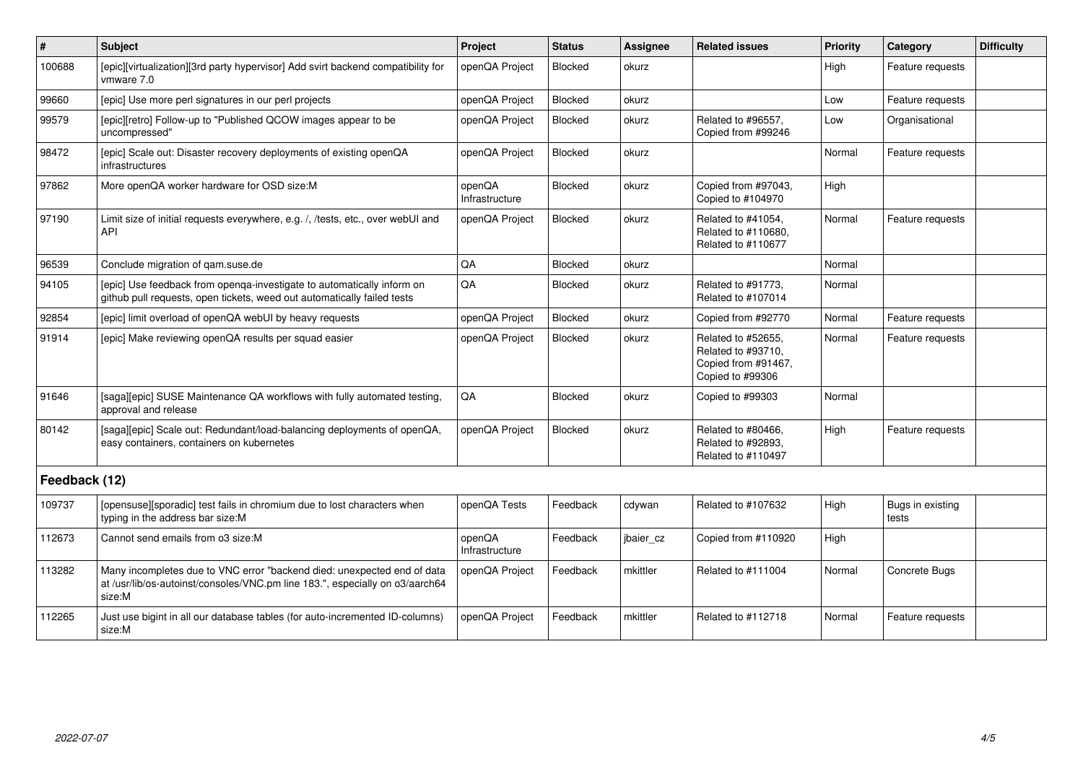| $\vert$ #     | Subject                                                                                                                                                           | Project                  | <b>Status</b>  | <b>Assignee</b> | <b>Related issues</b>                                                               | <b>Priority</b> | Category                  | <b>Difficulty</b> |
|---------------|-------------------------------------------------------------------------------------------------------------------------------------------------------------------|--------------------------|----------------|-----------------|-------------------------------------------------------------------------------------|-----------------|---------------------------|-------------------|
| 100688        | [epic][virtualization][3rd party hypervisor] Add svirt backend compatibility for<br>vmware 7.0                                                                    | openQA Project           | <b>Blocked</b> | okurz           |                                                                                     | High            | Feature requests          |                   |
| 99660         | [epic] Use more perl signatures in our perl projects                                                                                                              | openQA Project           | <b>Blocked</b> | okurz           |                                                                                     | Low             | Feature requests          |                   |
| 99579         | [epic][retro] Follow-up to "Published QCOW images appear to be<br>uncompressed"                                                                                   | openQA Project           | Blocked        | okurz           | Related to #96557,<br>Copied from #99246                                            | Low             | Organisational            |                   |
| 98472         | [epic] Scale out: Disaster recovery deployments of existing openQA<br>infrastructures                                                                             | openQA Project           | Blocked        | okurz           |                                                                                     | Normal          | Feature requests          |                   |
| 97862         | More openQA worker hardware for OSD size:M                                                                                                                        | openQA<br>Infrastructure | Blocked        | okurz           | Copied from #97043,<br>Copied to #104970                                            | High            |                           |                   |
| 97190         | Limit size of initial requests everywhere, e.g. /, /tests, etc., over webUI and<br><b>API</b>                                                                     | openQA Project           | <b>Blocked</b> | okurz           | Related to #41054,<br>Related to #110680,<br>Related to #110677                     | Normal          | Feature requests          |                   |
| 96539         | Conclude migration of gam.suse.de                                                                                                                                 | QA                       | Blocked        | okurz           |                                                                                     | Normal          |                           |                   |
| 94105         | [epic] Use feedback from openga-investigate to automatically inform on<br>github pull requests, open tickets, weed out automatically failed tests                 | QA                       | Blocked        | okurz           | Related to #91773,<br>Related to #107014                                            | Normal          |                           |                   |
| 92854         | [epic] limit overload of openQA webUI by heavy requests                                                                                                           | openQA Project           | Blocked        | okurz           | Copied from #92770                                                                  | Normal          | Feature requests          |                   |
| 91914         | [epic] Make reviewing openQA results per squad easier                                                                                                             | openQA Project           | Blocked        | okurz           | Related to #52655,<br>Related to #93710,<br>Copied from #91467.<br>Copied to #99306 | Normal          | Feature requests          |                   |
| 91646         | [saga][epic] SUSE Maintenance QA workflows with fully automated testing,<br>approval and release                                                                  | <b>OA</b>                | <b>Blocked</b> | okurz           | Copied to #99303                                                                    | Normal          |                           |                   |
| 80142         | [saga][epic] Scale out: Redundant/load-balancing deployments of openQA,<br>easy containers, containers on kubernetes                                              | openQA Project           | <b>Blocked</b> | okurz           | Related to #80466,<br>Related to #92893,<br>Related to #110497                      | High            | Feature requests          |                   |
| Feedback (12) |                                                                                                                                                                   |                          |                |                 |                                                                                     |                 |                           |                   |
| 109737        | [opensuse][sporadic] test fails in chromium due to lost characters when<br>typing in the address bar size:M                                                       | openQA Tests             | Feedback       | cdywan          | Related to #107632                                                                  | High            | Bugs in existing<br>tests |                   |
| 112673        | Cannot send emails from o3 size:M                                                                                                                                 | openQA<br>Infrastructure | Feedback       | jbaier_cz       | Copied from #110920                                                                 | High            |                           |                   |
| 113282        | Many incompletes due to VNC error "backend died: unexpected end of data<br>at /usr/lib/os-autoinst/consoles/VNC.pm line 183.", especially on o3/aarch64<br>size:M | openQA Project           | Feedback       | mkittler        | Related to #111004                                                                  | Normal          | Concrete Bugs             |                   |
| 112265        | Just use bigint in all our database tables (for auto-incremented ID-columns)<br>size:M                                                                            | openQA Project           | Feedback       | mkittler        | Related to #112718                                                                  | Normal          | Feature requests          |                   |